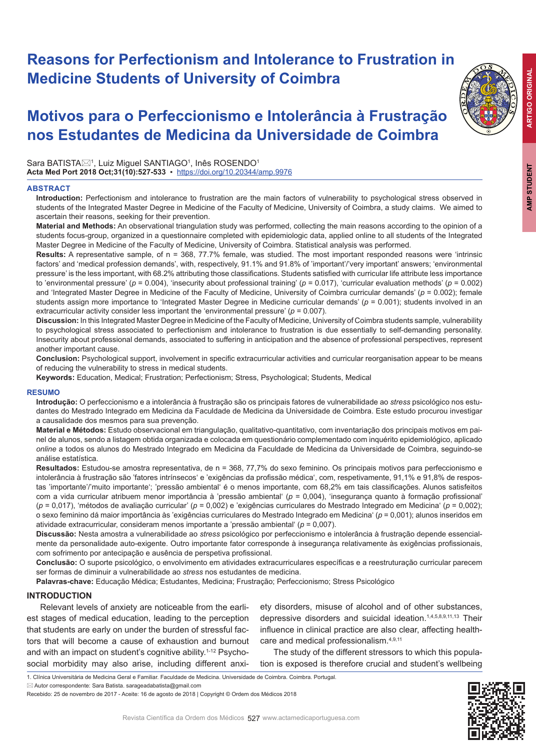# **Reasons for Perfectionism and Intolerance to Frustration in Medicine Students of University of Coimbra**

# **Motivos para o Perfeccionismo e Intolerância à Frustração nos Estudantes de Medicina da Universidade de Coimbra**

Sara BATISTA⊠<sup>1</sup>, Luiz Miguel SANTIAGO<sup>1</sup>, Inês ROSENDO<sup>1</sup> **Acta Med Port 2018 Oct;31(10):527-533** ▪https://doi.org/10.20344/amp.9976

# **ABSTRACT**



**Material and Methods:** An observational triangulation study was performed, collecting the main reasons according to the opinion of a students focus-group, organized in a questionnaire completed with epidemiologic data, applied online to all students of the Integrated Master Degree in Medicine of the Faculty of Medicine, University of Coimbra. Statistical analysis was performed.

**Results:** A representative sample, of n = 368, 77.7% female, was studied. The most important responded reasons were 'intrinsic factors' and 'medical profession demands', with, respectively, 91.1% and 91.8% of 'important'/very important' answers; 'environmental pressure' is the less important, with 68.2% attributing those classifications. Students satisfied with curricular life attribute less importance to 'environmental pressure' (*p* = 0.004), 'insecurity about professional training' (*p* = 0.017), 'curricular evaluation methods' (*p* = 0.002) and 'Integrated Master Degree in Medicine of the Faculty of Medicine, University of Coimbra curricular demands' ( $p = 0.002$ ); female students assign more importance to 'Integrated Master Degree in Medicine curricular demands' ( $p = 0.001$ ); students involved in an extracurricular activity consider less important the 'environmental pressure'  $(p = 0.007)$ .

**Discussion:** In this Integrated Master Degree in Medicine of the Faculty of Medicine, University of Coimbra students sample, vulnerability to psychological stress associated to perfectionism and intolerance to frustration is due essentially to self-demanding personality. Insecurity about professional demands, associated to suffering in anticipation and the absence of professional perspectives, represent another important cause.

**Conclusion:** Psychological support, involvement in specific extracurricular activities and curricular reorganisation appear to be means of reducing the vulnerability to stress in medical students.

**Keywords:** Education, Medical; Frustration; Perfectionism; Stress, Psychological; Students, Medical

# **RESUMO**

**Introdução:** O perfeccionismo e a intolerância à frustração são os principais fatores de vulnerabilidade ao *stress* psicológico nos estudantes do Mestrado Integrado em Medicina da Faculdade de Medicina da Universidade de Coimbra. Este estudo procurou investigar a causalidade dos mesmos para sua prevenção.

**Material e Métodos:** Estudo observacional em triangulação, qualitativo-quantitativo, com inventariação dos principais motivos em painel de alunos, sendo a listagem obtida organizada e colocada em questionário complementado com inquérito epidemiológico, aplicado *online* a todos os alunos do Mestrado Integrado em Medicina da Faculdade de Medicina da Universidade de Coimbra, seguindo-se análise estatística.

**Resultados:** Estudou-se amostra representativa, de n = 368, 77,7% do sexo feminino. Os principais motivos para perfeccionismo e intolerância à frustração são 'fatores intrínsecos' e 'exigências da profissão médica', com, respetivamente, 91,1% e 91,8% de respostas 'importante'/'muito importante'; 'pressão ambiental' é o menos importante, com 68,2% em tais classificações. Alunos satisfeitos com a vida curricular atribuem menor importância à 'pressão ambiental' (*p* = 0,004), 'insegurança quanto à formação profissional' (*p* = 0,017), 'métodos de avaliação curricular' (*p* = 0,002) e 'exigências curriculares do Mestrado Integrado em Medicina' (*p* = 0,002); o sexo feminino dá maior importância às 'exigências curriculares do Mestrado Integrado em Medicina' (*p* = 0,001); alunos inseridos em atividade extracurricular, consideram menos importante a 'pressão ambiental' (*p* = 0,007).

**Discussão:** Nesta amostra a vulnerabilidade ao *stress* psicológico por perfeccionismo e intolerância à frustração depende essencialmente da personalidade auto-exigente. Outro importante fator corresponde à insegurança relativamente às exigências profissionais, com sofrimento por antecipação e ausência de perspetiva profissional.

**Conclusão:** O suporte psicológico, o envolvimento em atividades extracurriculares específicas e a reestruturação curricular parecem ser formas de diminuir a vulnerabilidade ao *stress* nos estudantes de medicina.

**Palavras-chave:** Educação Médica; Estudantes, Medicina; Frustração; Perfeccionismo; Stress Psicológico

# **INTRODUCTION**

Relevant levels of anxiety are noticeable from the earliest stages of medical education, leading to the perception that students are early on under the burden of stressful factors that will become a cause of exhaustion and burnout and with an impact on student's cognitive ability.<sup>1-12</sup> Psychosocial morbidity may also arise, including different anxi-

ety disorders, misuse of alcohol and of other substances, depressive disorders and suicidal ideation.<sup>1,4,5,8,9,11,13</sup> Their influence in clinical practice are also clear, affecting healthcare and medical professionalism.4,9,11

The study of the different stressors to which this population is exposed is therefore crucial and student's wellbeing



<sup>1.</sup> Clínica Universitária de Medicina Geral e Familiar. Faculdade de Medicina. Universidade de Coimbra. Coimbra. Portugal.

 $\boxtimes$  Autor correspondente: Sara Batista, sarageadabatista@gmail.com

Recebido: 25 de novembro de 2017 - Aceite: 16 de agosto de 2018 | Copyright © Ordem dos Médicos 2018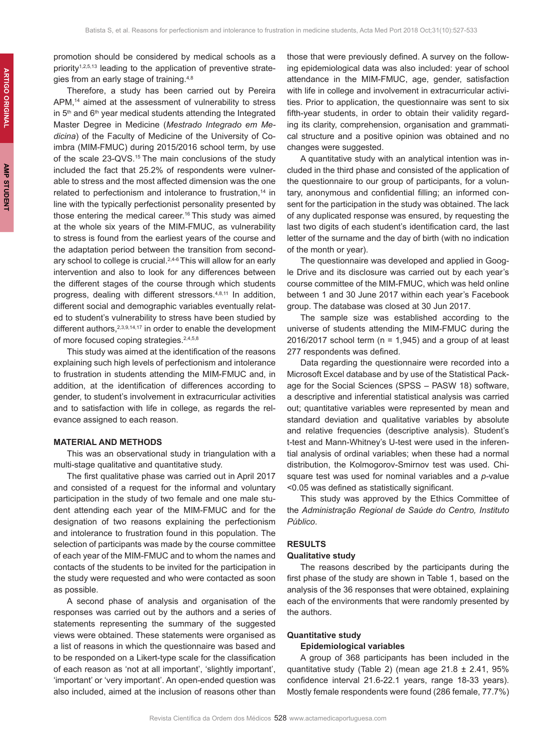promotion should be considered by medical schools as a priority<sup>1,2,5,13</sup> leading to the application of preventive strategies from an early stage of training.4,8

Therefore, a study has been carried out by Pereira APM,<sup>14</sup> aimed at the assessment of vulnerability to stress in  $5<sup>th</sup>$  and  $6<sup>th</sup>$  vear medical students attending the Integrated Master Degree in Medicine (*Mestrado Integrado em Medicina*) of the Faculty of Medicine of the University of Coimbra (MIM-FMUC) during 2015/2016 school term, by use of the scale 23-QVS.<sup>15</sup> The main conclusions of the study included the fact that 25.2% of respondents were vulnerable to stress and the most affected dimension was the one related to perfectionism and intolerance to frustration.<sup>14</sup> in line with the typically perfectionist personality presented by those entering the medical career.<sup>16</sup> This study was aimed at the whole six years of the MIM-FMUC, as vulnerability to stress is found from the earliest years of the course and the adaptation period between the transition from secondary school to college is crucial.<sup>2,4-6</sup> This will allow for an early intervention and also to look for any differences between the different stages of the course through which students progress, dealing with different stressors.4,8,11 In addition, different social and demographic variables eventually related to student's vulnerability to stress have been studied by different authors, 2,3,9,14,17 in order to enable the development of more focused coping strategies.<sup>2,4,5,8</sup>

This study was aimed at the identification of the reasons explaining such high levels of perfectionism and intolerance to frustration in students attending the MIM-FMUC and, in addition, at the identification of differences according to gender, to student's involvement in extracurricular activities and to satisfaction with life in college, as regards the relevance assigned to each reason.

## **MATERIAL AND METHODS**

This was an observational study in triangulation with a multi-stage qualitative and quantitative study.

The first qualitative phase was carried out in April 2017 and consisted of a request for the informal and voluntary participation in the study of two female and one male student attending each year of the MIM-FMUC and for the designation of two reasons explaining the perfectionism and intolerance to frustration found in this population. The selection of participants was made by the course committee of each year of the MIM-FMUC and to whom the names and contacts of the students to be invited for the participation in the study were requested and who were contacted as soon as possible.

A second phase of analysis and organisation of the responses was carried out by the authors and a series of statements representing the summary of the suggested views were obtained. These statements were organised as a list of reasons in which the questionnaire was based and to be responded on a Likert-type scale for the classification of each reason as 'not at all important', 'slightly important', 'important' or 'very important'. An open-ended question was also included, aimed at the inclusion of reasons other than

those that were previously defined. A survey on the following epidemiological data was also included: year of school attendance in the MIM-FMUC, age, gender, satisfaction with life in college and involvement in extracurricular activities. Prior to application, the questionnaire was sent to six fifth-year students, in order to obtain their validity regarding its clarity, comprehension, organisation and grammatical structure and a positive opinion was obtained and no changes were suggested.

A quantitative study with an analytical intention was included in the third phase and consisted of the application of the questionnaire to our group of participants, for a voluntary, anonymous and confidential filling; an informed consent for the participation in the study was obtained. The lack of any duplicated response was ensured, by requesting the last two digits of each student's identification card, the last letter of the surname and the day of birth (with no indication of the month or year).

The questionnaire was developed and applied in Google Drive and its disclosure was carried out by each year's course committee of the MIM-FMUC, which was held online between 1 and 30 June 2017 within each year's Facebook group. The database was closed at 30 Jun 2017.

The sample size was established according to the universe of students attending the MIM-FMUC during the 2016/2017 school term ( $n = 1,945$ ) and a group of at least 277 respondents was defined.

Data regarding the questionnaire were recorded into a Microsoft Excel database and by use of the Statistical Package for the Social Sciences (SPSS – PASW 18) software, a descriptive and inferential statistical analysis was carried out; quantitative variables were represented by mean and standard deviation and qualitative variables by absolute and relative frequencies (descriptive analysis). Student's t-test and Mann-Whitney's U-test were used in the inferential analysis of ordinal variables; when these had a normal distribution, the Kolmogorov-Smirnov test was used. Chisquare test was used for nominal variables and a *p-*value <0.05 was defined as statistically significant.

This study was approved by the Ethics Committee of the *Administração Regional de Saúde do Centro, Instituto Público*.

## **RESULTS**

## **Qualitative study**

The reasons described by the participants during the first phase of the study are shown in Table 1, based on the analysis of the 36 responses that were obtained, explaining each of the environments that were randomly presented by the authors.

### **Quantitative study**

### **Epidemiological variables**

A group of 368 participants has been included in the quantitative study (Table 2) (mean age  $21.8 \pm 2.41$ , 95% confidence interval 21.6-22.1 years, range 18-33 years). Mostly female respondents were found (286 female, 77.7%)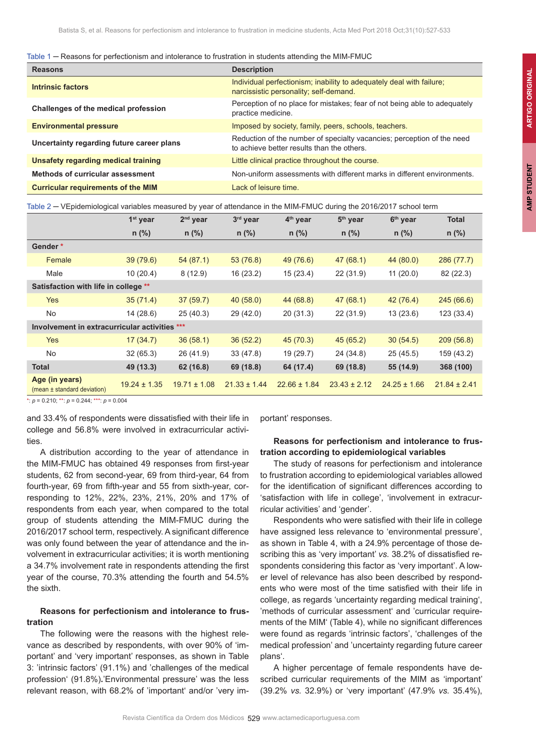|  |  | Table 1 $-$ Reasons for perfectionism and intolerance to frustration in students attending the MIM-FMUC |  |  |  |
|--|--|---------------------------------------------------------------------------------------------------------|--|--|--|
|--|--|---------------------------------------------------------------------------------------------------------|--|--|--|

| <b>Reasons</b>                            | <b>Description</b>                                                                                                   |
|-------------------------------------------|----------------------------------------------------------------------------------------------------------------------|
| Intrinsic factors                         | Individual perfectionism; inability to adequately deal with failure;<br>narcissistic personality; self-demand.       |
| Challenges of the medical profession      | Perception of no place for mistakes; fear of not being able to adequately<br>practice medicine.                      |
| <b>Environmental pressure</b>             | Imposed by society, family, peers, schools, teachers.                                                                |
| Uncertainty regarding future career plans | Reduction of the number of specialty vacancies; perception of the need<br>to achieve better results than the others. |
| Unsafety regarding medical training       | Little clinical practice throughout the course.                                                                      |
| Methods of curricular assessment          | Non-uniform assessments with different marks in different environments.                                              |
| <b>Curricular requirements of the MIM</b> | Lack of leisure time.                                                                                                |
|                                           |                                                                                                                      |

| Table 2 – VEpidemiological variables measured by year of attendance in the MIM-FMUC during the 2016/2017 school term |  |  |
|----------------------------------------------------------------------------------------------------------------------|--|--|
|                                                                                                                      |  |  |

|                                               | 1 <sup>st</sup> year | $2nd$ year       | 3rd year         | 4 <sup>th</sup> year | 5 <sup>th</sup> year | 6 <sup>th</sup> year | <b>Total</b>     |
|-----------------------------------------------|----------------------|------------------|------------------|----------------------|----------------------|----------------------|------------------|
|                                               | $n$ (%)              | $n$ (%)          | $n$ (%)          | $n$ (%)              | $n$ (%)              | $n$ (%)              | $n$ (%)          |
| Gender*                                       |                      |                  |                  |                      |                      |                      |                  |
| Female                                        | 39(79.6)             | 54(87.1)         | 53(76.8)         | 49 (76.6)            | 47(68.1)             | 44 (80.0)            | 286 (77.7)       |
| Male                                          | 10(20.4)             | 8(12.9)          | 16 (23.2)        | 15(23.4)             | 22 (31.9)            | 11(20.0)             | 82 (22.3)        |
| Satisfaction with life in college **          |                      |                  |                  |                      |                      |                      |                  |
| <b>Yes</b>                                    | 35(71.4)             | 37(59.7)         | 40(58.0)         | 44 (68.8)            | 47(68.1)             | 42 (76.4)            | 245(66.6)        |
| <b>No</b>                                     | 14 (28.6)            | 25(40.3)         | 29(42.0)         | 20(31.3)             | 22 (31.9)            | 13(23.6)             | 123 (33.4)       |
| Involvement in extracurricular activities     |                      | ***              |                  |                      |                      |                      |                  |
| Yes                                           | 17(34.7)             | 36(58.1)         | 36(52.2)         | 45(70.3)             | 45(65.2)             | 30(54.5)             | 209(56.8)        |
| <b>No</b>                                     | 32(65.3)             | 26 (41.9)        | 33(47.8)         | 19 (29.7)            | 24 (34.8)            | 25(45.5)             | 159 (43.2)       |
| <b>Total</b>                                  | 49 (13.3)            | 62 (16.8)        | 69 (18.8)        | 64 (17.4)            | 69 (18.8)            | 55 (14.9)            | 368 (100)        |
| Age (in years)<br>(mean ± standard deviation) | $19.24 \pm 1.35$     | $19.71 \pm 1.08$ | $21.33 \pm 1.44$ | $22.66 \pm 1.84$     | $23.43 \pm 2.12$     | $24.25 \pm 1.66$     | $21.84 \pm 2.41$ |

\*: *p* = 0.210; \*\*: *p* = 0.244; \*\*\*: *p* = 0.004

and 33.4% of respondents were dissatisfied with their life in college and 56.8% were involved in extracurricular activities.

A distribution according to the year of attendance in the MIM-FMUC has obtained 49 responses from first-year students, 62 from second-year, 69 from third-year, 64 from fourth-year, 69 from fifth-year and 55 from sixth-year, corresponding to 12%, 22%, 23%, 21%, 20% and 17% of respondents from each year, when compared to the total group of students attending the MIM-FMUC during the 2016/2017 school term, respectively. A significant difference was only found between the year of attendance and the involvement in extracurricular activities; it is worth mentioning a 34.7% involvement rate in respondents attending the first year of the course, 70.3% attending the fourth and 54.5% the sixth.

# **Reasons for perfectionism and intolerance to frustration**

The following were the reasons with the highest relevance as described by respondents, with over 90% of 'important' and 'very important' responses, as shown in Table 3: 'intrinsic factors' (91.1%) and 'challenges of the medical profession' (91.8%)**.**'Environmental pressure' was the less relevant reason, with 68.2% of 'important' and/or 'very important' responses.

## **Reasons for perfectionism and intolerance to frustration according to epidemiological variables**

The study of reasons for perfectionism and intolerance to frustration according to epidemiological variables allowed for the identification of significant differences according to 'satisfaction with life in college', 'involvement in extracurricular activities' and 'gender'.

Respondents who were satisfied with their life in college have assigned less relevance to 'environmental pressure', as shown in Table 4, with a 24.9% percentage of those describing this as 'very important' *vs.* 38.2% of dissatisfied respondents considering this factor as 'very important'. A lower level of relevance has also been described by respondents who were most of the time satisfied with their life in college, as regards 'uncertainty regarding medical training', 'methods of curricular assessment' and 'curricular requirements of the MIM' (Table 4), while no significant differences were found as regards 'intrinsic factors', 'challenges of the medical profession' and 'uncertainty regarding future career plans'.

A higher percentage of female respondents have described curricular requirements of the MIM as 'important' (39.2% *vs.* 32.9%) or 'very important' (47.9% *vs.* 35.4%),

**AMP STUDENT**

**AMP STUDENT**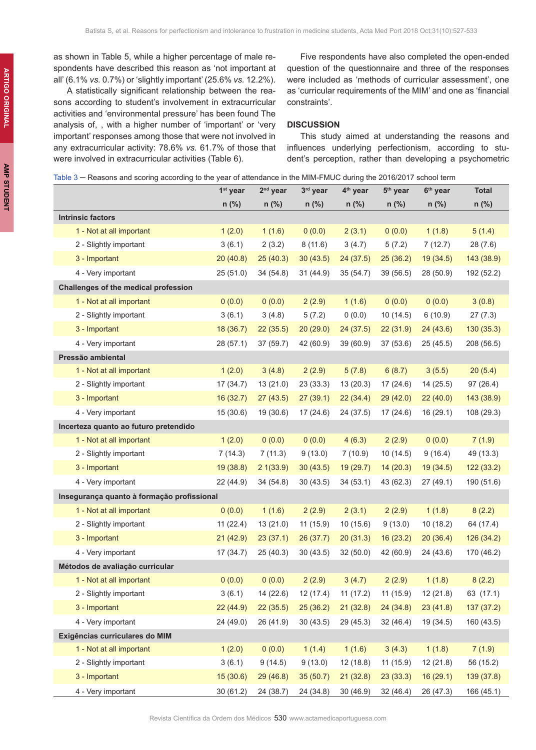as shown in Table 5, while a higher percentage of male respondents have described this reason as 'not important at all' (6.1% *vs.* 0.7%) or 'slightly important' (25.6% *vs.* 12.2%).

A statistically significant relationship between the reasons according to student's involvement in extracurricular activities and 'environmental pressure' has been found The analysis of, , with a higher number of 'important' or 'very important' responses among those that were not involved in any extracurricular activity: 78.6% *vs.* 61.7% of those that were involved in extracurricular activities (Table 6).

Five respondents have also completed the open-ended question of the questionnaire and three of the responses were included as 'methods of curricular assessment', one as 'curricular requirements of the MIM' and one as 'financial constraints'.

## **DISCUSSION**

This study aimed at understanding the reasons and influences underlying perfectionism, according to student's perception, rather than developing a psychometric

| Table 3 — Reasons and scoring according to the year of attendance in the MIM-FMUC during the 2016/2017 school term |  |  |
|--------------------------------------------------------------------------------------------------------------------|--|--|
|--------------------------------------------------------------------------------------------------------------------|--|--|

|                                            | 1 <sup>st</sup> year | $2nd$ year | 3rd year  | 4 <sup>th</sup> year | 5 <sup>th</sup> year | 6 <sup>th</sup> year | <b>Total</b> |
|--------------------------------------------|----------------------|------------|-----------|----------------------|----------------------|----------------------|--------------|
|                                            | $n$ (%)              | $n$ (%)    | $n$ (%)   | $n$ (%)              | $n$ (%)              | n (%)                | n (%)        |
| <b>Intrinsic factors</b>                   |                      |            |           |                      |                      |                      |              |
| 1 - Not at all important                   | 1(2.0)               | 1(1.6)     | 0(0.0)    | 2(3.1)               | 0(0.0)               | 1(1.8)               | 5(1.4)       |
| 2 - Slightly important                     | 3(6.1)               | 2(3.2)     | 8(11.6)   | 3(4.7)               | 5(7.2)               | 7(12.7)              | 28 (7.6)     |
| 3 - Important                              | 20(40.8)             | 25(40.3)   | 30(43.5)  | 24(37.5)             | 25(36.2)             | 19(34.5)             | 143 (38.9)   |
| 4 - Very important                         | 25(51.0)             | 34(54.8)   | 31 (44.9) | 35(54.7)             | 39 (56.5)            | 28 (50.9)            | 192 (52.2)   |
| Challenges of the medical profession       |                      |            |           |                      |                      |                      |              |
| 1 - Not at all important                   | 0(0.0)               | 0(0.0)     | 2(2.9)    | 1(1.6)               | 0(0.0)               | 0(0.0)               | 3(0.8)       |
| 2 - Slightly important                     | 3(6.1)               | 3(4.8)     | 5(7.2)    | 0(0.0)               | 10 (14.5)            | 6(10.9)              | 27(7.3)      |
| 3 - Important                              | 18(36.7)             | 22(35.5)   | 20(29.0)  | 24(37.5)             | 22(31.9)             | 24 (43.6)            | 130(35.3)    |
| 4 - Very important                         | 28(57.1)             | 37 (59.7)  | 42 (60.9) | 39 (60.9)            | 37 (53.6)            | 25(45.5)             | 208 (56.5)   |
| Pressão ambiental                          |                      |            |           |                      |                      |                      |              |
| 1 - Not at all important                   | 1(2.0)               | 3(4.8)     | 2(2.9)    | 5(7.8)               | 6(8.7)               | 3(5.5)               | 20(5.4)      |
| 2 - Slightly important                     | 17 (34.7)            | 13 (21.0)  | 23(33.3)  | 13 (20.3)            | 17(24.6)             | 14(25.5)             | 97(26.4)     |
| 3 - Important                              | 16(32.7)             | 27(43.5)   | 27(39.1)  | 22(34.4)             | 29(42.0)             | 22(40.0)             | 143 (38.9)   |
| 4 - Very important                         | 15(30.6)             | 19 (30.6)  | 17(24.6)  | 24 (37.5)            | 17(24.6)             | 16(29.1)             | 108 (29.3)   |
| Incerteza quanto ao futuro pretendido      |                      |            |           |                      |                      |                      |              |
| 1 - Not at all important                   | 1(2.0)               | 0(0.0)     | 0(0.0)    | 4(6.3)               | 2(2.9)               | 0(0.0)               | 7(1.9)       |
| 2 - Slightly important                     | 7(14.3)              | 7(11.3)    | 9(13.0)   | 7(10.9)              | 10(14.5)             | 9(16.4)              | 49 (13.3)    |
| 3 - Important                              | 19(38.8)             | 21(33.9)   | 30(43.5)  | 19(29.7)             | 14(20.3)             | 19(34.5)             | 122(33.2)    |
| 4 - Very important                         | 22 (44.9)            | 34(54.8)   | 30(43.5)  | 34(53.1)             | 43 (62.3)            | 27 (49.1)            | 190 (51.6)   |
| Insegurança quanto à formação profissional |                      |            |           |                      |                      |                      |              |
| 1 - Not at all important                   | 0(0.0)               | 1(1.6)     | 2(2.9)    | 2(3.1)               | 2(2.9)               | 1(1.8)               | 8(2.2)       |
| 2 - Slightly important                     | 11(22.4)             | 13(21.0)   | 11 (15.9) | 10(15.6)             | 9(13.0)              | 10(18.2)             | 64 (17.4)    |
| 3 - Important                              | 21(42.9)             | 23(37.1)   | 26(37.7)  | 20(31.3)             | 16(23.2)             | 20(36.4)             | 126 (34.2)   |
| 4 - Very important                         | 17(34.7)             | 25(40.3)   | 30(43.5)  | 32(50.0)             | 42 (60.9)            | 24 (43.6)            | 170 (46.2)   |
| Métodos de avaliação curricular            |                      |            |           |                      |                      |                      |              |
| 1 - Not at all important                   | 0(0.0)               | 0(0.0)     | 2(2.9)    | 3(4.7)               | 2(2.9)               | 1(1.8)               | 8(2.2)       |
| 2 - Slightly important                     | 3(6.1)               | 14 (22.6)  | 12(17.4)  | 11(17.2)             | 11(15.9)             | 12(21.8)             | 63 (17.1)    |
| 3 - Important                              | 22(44.9)             | 22(35.5)   |           | 25 (36.2) 21 (32.8)  | 24(34.8)             | 23(41.8)             | 137 (37.2)   |
| 4 - Very important                         | 24 (49.0)            | 26 (41.9)  | 30(43.5)  | 29 (45.3)            | 32 (46.4)            | 19 (34.5)            | 160 (43.5)   |
| Exigências curriculares do MIM             |                      |            |           |                      |                      |                      |              |
| 1 - Not at all important                   | 1(2.0)               | 0(0.0)     | 1(1.4)    | 1(1.6)               | 3(4.3)               | 1(1.8)               | 7(1.9)       |
| 2 - Slightly important                     | 3(6.1)               | 9(14.5)    | 9(13.0)   | 12 (18.8)            | 11(15.9)             | 12 (21.8)            | 56 (15.2)    |
| 3 - Important                              | 15 (30.6)            | 29(46.8)   | 35(50.7)  | 21 (32.8)            | 23(33.3)             | 16 (29.1)            | 139 (37.8)   |
| 4 - Very important                         | 30 (61.2)            | 24 (38.7)  | 24 (34.8) | 30 (46.9)            | 32(46.4)             | 26 (47.3)            | 166 (45.1)   |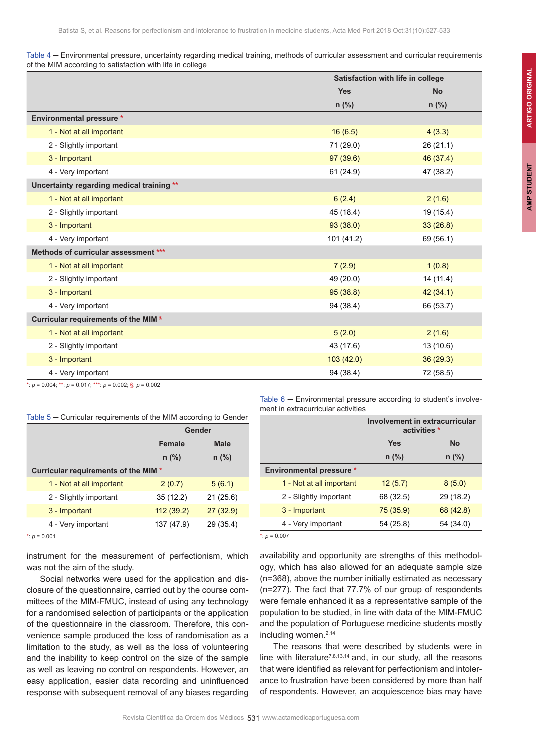| Table 4 – Environmental pressure, uncertainty regarding medical training, methods of curricular assessment and curricular requirements |  |  |  |
|----------------------------------------------------------------------------------------------------------------------------------------|--|--|--|
| of the MIM according to satisfaction with life in college                                                                              |  |  |  |

|                                           | Satisfaction with life in college |           |
|-------------------------------------------|-----------------------------------|-----------|
|                                           | <b>Yes</b>                        | <b>No</b> |
|                                           | $n$ (%)                           | $n$ (%)   |
| <b>Environmental pressure *</b>           |                                   |           |
| 1 - Not at all important                  | 16(6.5)                           | 4(3.3)    |
| 2 - Slightly important                    | 71 (29.0)                         | 26 (21.1) |
| 3 - Important                             | 97(39.6)                          | 46 (37.4) |
| 4 - Very important                        | 61(24.9)                          | 47 (38.2) |
| Uncertainty regarding medical training ** |                                   |           |
| 1 - Not at all important                  | 6(2.4)                            | 2(1.6)    |
| 2 - Slightly important                    | 45 (18.4)                         | 19 (15.4) |
| 3 - Important                             | 93(38.0)                          | 33(26.8)  |
| 4 - Very important                        | 101 (41.2)                        | 69 (56.1) |
| Methods of curricular assessment ***      |                                   |           |
| 1 - Not at all important                  | 7(2.9)                            | 1(0.8)    |
| 2 - Slightly important                    | 49 (20.0)                         | 14(11.4)  |
| 3 - Important                             | 95(38.8)                          | 42(34.1)  |
| 4 - Very important                        | 94 (38.4)                         | 66 (53.7) |
| Curricular requirements of the MIM §      |                                   |           |
| 1 - Not at all important                  | 5(2.0)                            | 2(1.6)    |
| 2 - Slightly important                    | 43 (17.6)                         | 13 (10.6) |
| 3 - Important                             | 103(42.0)                         | 36(29.3)  |
| 4 - Very important                        | 94 (38.4)                         | 72 (58.5) |

\*: *p* = 0.004; \*\*: *p* = 0.017; \*\*\*: *p* = 0.002; §: *p* = 0.002

|         | Gender      |  |
|---------|-------------|--|
| Female  | <b>Male</b> |  |
| $n$ (%) | $n$ (%)     |  |

Table 5 – Curricular requirements of the MIM according to Gender

|                                      | .          |           |
|--------------------------------------|------------|-----------|
|                                      | $n$ (%)    | $n$ (%)   |
| Curricular requirements of the MIM * |            |           |
| 1 - Not at all important             | 2(0.7)     | 5(6.1)    |
| 2 - Slightly important               | 35(12.2)   | 21(25.6)  |
| 3 - Important                        | 112(39.2)  | 27(32.9)  |
| 4 - Very important                   | 137 (47.9) | 29 (35.4) |

 $*_: p = 0.001$ 

instrument for the measurement of perfectionism, which was not the aim of the study.

Social networks were used for the application and disclosure of the questionnaire, carried out by the course committees of the MIM-FMUC, instead of using any technology for a randomised selection of participants or the application of the questionnaire in the classroom. Therefore, this convenience sample produced the loss of randomisation as a limitation to the study, as well as the loss of volunteering and the inability to keep control on the size of the sample as well as leaving no control on respondents. However, an easy application, easier data recording and uninfluenced response with subsequent removal of any biases regarding

Table 6 – Environmental pressure according to student's involvement in extracurricular activities

|                                 | Involvement in extracurricular<br>activities * |           |  |
|---------------------------------|------------------------------------------------|-----------|--|
|                                 | <b>Yes</b><br><b>No</b>                        |           |  |
|                                 | $n$ (%)                                        | $n$ (%)   |  |
| <b>Environmental pressure *</b> |                                                |           |  |
| 1 - Not at all important        | 12(5.7)                                        | 8(5.0)    |  |
| 2 - Slightly important          | 68 (32.5)                                      | 29 (18.2) |  |
| 3 - Important                   | 75(35.9)                                       | 68 (42.8) |  |
| 4 - Very important              | 54 (25.8)                                      | 54 (34.0) |  |

<sup>\*</sup>: *p* = 0.007

availability and opportunity are strengths of this methodology, which has also allowed for an adequate sample size (n=368), above the number initially estimated as necessary (n=277). The fact that 77.7% of our group of respondents were female enhanced it as a representative sample of the population to be studied, in line with data of the MIM-FMUC and the population of Portuguese medicine students mostly including women.2,14

The reasons that were described by students were in line with literature<sup>7,8,13,14</sup> and, in our study, all the reasons that were identified as relevant for perfectionism and intolerance to frustration have been considered by more than half of respondents. However, an acquiescence bias may have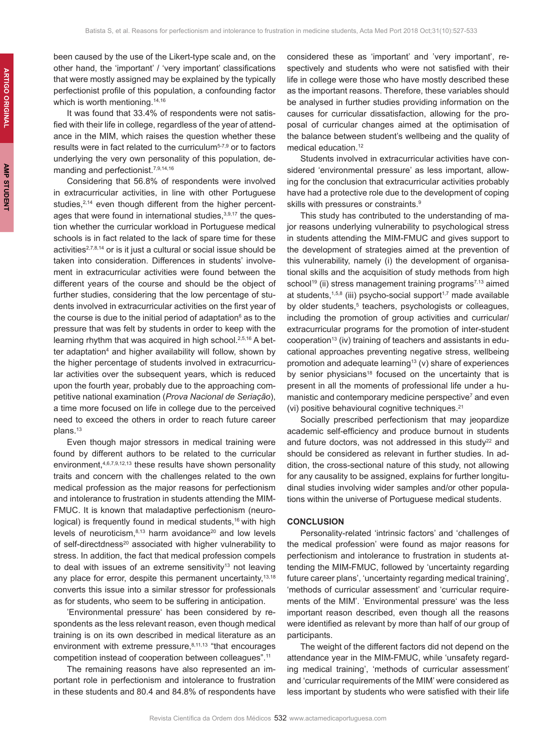been caused by the use of the Likert-type scale and, on the other hand, the 'important' / 'very important' classifications that were mostly assigned may be explained by the typically perfectionist profile of this population, a confounding factor which is worth mentioning.<sup>14,16</sup>

It was found that 33.4% of respondents were not satisfied with their life in college, regardless of the year of attendance in the MIM, which raises the question whether these results were in fact related to the curriculum<sup>5-7,9</sup> or to factors underlying the very own personality of this population, demanding and perfectionist.7,9,14,16

Considering that 56.8% of respondents were involved in extracurricular activities, in line with other Portuguese studies,<sup>2,14</sup> even though different from the higher percentages that were found in international studies, $3,9,17$  the question whether the curricular workload in Portuguese medical schools is in fact related to the lack of spare time for these activities<sup>2,7,8,14</sup> or is it just a cultural or social issue should be taken into consideration. Differences in students' involvement in extracurricular activities were found between the different years of the course and should be the object of further studies, considering that the low percentage of students involved in extracurricular activities on the first year of the course is due to the initial period of adaptation $^{\rm e}$  as to the pressure that was felt by students in order to keep with the learning rhythm that was acquired in high school.<sup>2,5,16</sup> A better adaptation<sup>4</sup> and higher availability will follow, shown by the higher percentage of students involved in extracurricular activities over the subsequent years, which is reduced upon the fourth year, probably due to the approaching competitive national examination (*Prova Nacional de Seriação*), a time more focused on life in college due to the perceived need to exceed the others in order to reach future career plans.<sup>13</sup>

Even though major stressors in medical training were found by different authors to be related to the curricular environment,<sup>4,6,7,9,12,13</sup> these results have shown personality traits and concern with the challenges related to the own medical profession as the major reasons for perfectionism and intolerance to frustration in students attending the MIM-FMUC. It is known that maladaptive perfectionism (neurological) is frequently found in medical students,<sup>16</sup> with high levels of neuroticism, $8,13$  harm avoidance $20$  and low levels of self-directdness<sup>20</sup> associated with higher vulnerability to stress. In addition, the fact that medical profession compels to deal with issues of an extreme sensitivity<sup>13</sup> not leaving any place for error, despite this permanent uncertainty, 13,18 converts this issue into a similar stressor for professionals as for students, who seem to be suffering in anticipation.

'Environmental pressure' has been considered by respondents as the less relevant reason, even though medical training is on its own described in medical literature as an environment with extreme pressure, $8,11,13$  "that encourages competition instead of cooperation between colleagues".11

The remaining reasons have also represented an important role in perfectionism and intolerance to frustration in these students and 80.4 and 84.8% of respondents have

considered these as 'important' and 'very important', respectively and students who were not satisfied with their life in college were those who have mostly described these as the important reasons. Therefore, these variables should be analysed in further studies providing information on the causes for curricular dissatisfaction, allowing for the proposal of curricular changes aimed at the optimisation of the balance between student's wellbeing and the quality of medical education.<sup>12</sup>

Students involved in extracurricular activities have considered 'environmental pressure' as less important, allowing for the conclusion that extracurricular activities probably have had a protective role due to the development of coping skills with pressures or constraints.<sup>9</sup>

This study has contributed to the understanding of major reasons underlying vulnerability to psychological stress in students attending the MIM-FMUC and gives support to the development of strategies aimed at the prevention of this vulnerability, namely (i) the development of organisational skills and the acquisition of study methods from high school<sup>19</sup> (ii) stress management training programs<sup>7,13</sup> aimed at students, $1,5,8$  (iii) psycho-social support $1,7$  made available by older students,<sup>5</sup> teachers, psychologists or colleagues, including the promotion of group activities and curricular/ extracurricular programs for the promotion of inter-student cooperation<sup>13</sup> (iv) training of teachers and assistants in educational approaches preventing negative stress, wellbeing promotion and adequate learning<sup>13</sup> (v) share of experiences by senior physicians<sup>18</sup> focused on the uncertainty that is present in all the moments of professional life under a humanistic and contemporary medicine perspective<sup>7</sup> and even (vi) positive behavioural cognitive techniques.<sup>21</sup>

Socially prescribed perfectionism that may jeopardize academic self-efficiency and produce burnout in students and future doctors, was not addressed in this study<sup>22</sup> and should be considered as relevant in further studies. In addition, the cross-sectional nature of this study, not allowing for any causality to be assigned, explains for further longitudinal studies involving wider samples and/or other populations within the universe of Portuguese medical students.

## **CONCLUSION**

Personality-related 'intrinsic factors' and 'challenges of the medical profession' were found as major reasons for perfectionism and intolerance to frustration in students attending the MIM-FMUC, followed by 'uncertainty regarding future career plans', 'uncertainty regarding medical training', 'methods of curricular assessment' and 'curricular requirements of the MIM'. 'Environmental pressure' was the less important reason described, even though all the reasons were identified as relevant by more than half of our group of participants.

The weight of the different factors did not depend on the attendance year in the MIM-FMUC, while 'unsafety regarding medical training', 'methods of curricular assessment' and 'curricular requirements of the MIM' were considered as less important by students who were satisfied with their life